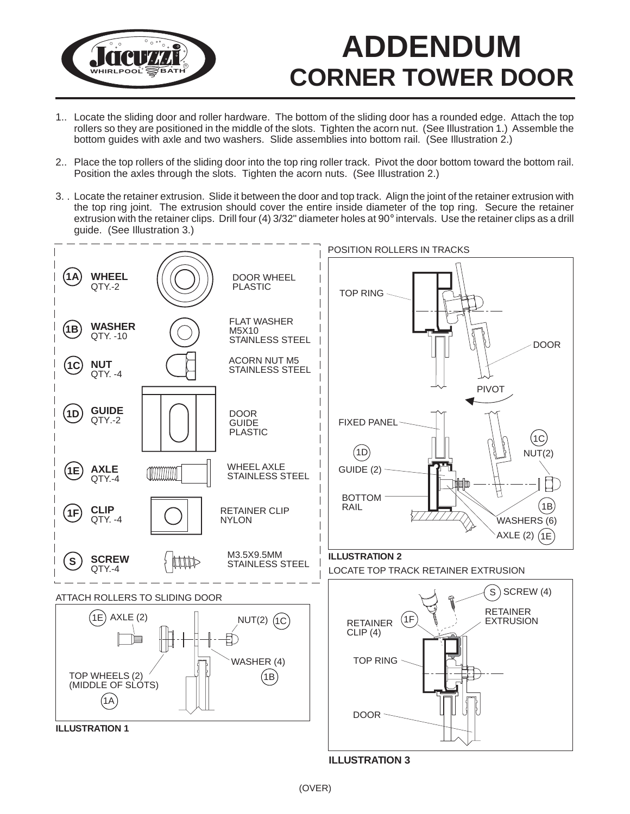

## **ADDENDUM CORNER TOWER DOOR**

- 1.. Locate the sliding door and roller hardware. The bottom of the sliding door has a rounded edge. Attach the top rollers so they are positioned in the middle of the slots. Tighten the acorn nut. (See Illustration 1.) Assemble the bottom guides with axle and two washers. Slide assemblies into bottom rail. (See Illustration 2.)
- 2.. Place the top rollers of the sliding door into the top ring roller track. Pivot the door bottom toward the bottom rail. Position the axles through the slots. Tighten the acorn nuts. (See Illustration 2.)
- 3. . Locate the retainer extrusion. Slide it between the door and top track. Align the joint of the retainer extrusion with the top ring joint. The extrusion should cover the entire inside diameter of the top ring. Secure the retainer extrusion with the retainer clips. Drill four (4) 3/32" diameter holes at 90° intervals. Use the retainer clips as a drill guide. (See Illustration 3.)



**ILLUSTRATION 3**